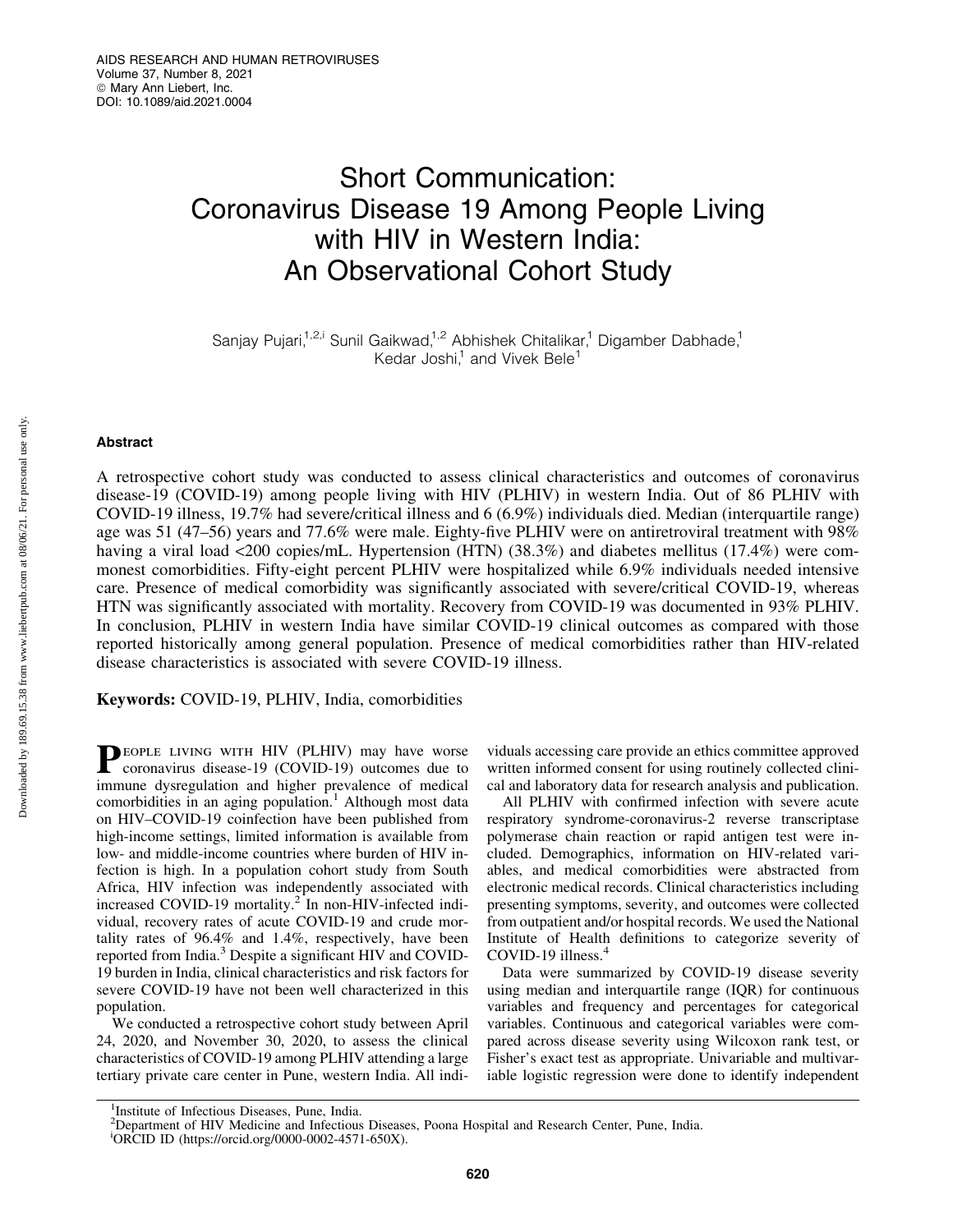# Short Communication: Coronavirus Disease 19 Among People Living with HIV in Western India: An Observational Cohort Study

Sanjay Pujari,<sup>1,2,i</sup> Sunil Gaikwad,<sup>1,2</sup> Abhishek Chitalikar,<sup>1</sup> Digamber Dabhade,<sup>1</sup> Kedar Joshi, $1$  and Vivek Bele $1$ 

# Abstract

A retrospective cohort study was conducted to assess clinical characteristics and outcomes of coronavirus disease-19 (COVID-19) among people living with HIV (PLHIV) in western India. Out of 86 PLHIV with COVID-19 illness, 19.7% had severe/critical illness and 6 (6.9%) individuals died. Median (interquartile range) age was 51 (47–56) years and 77.6% were male. Eighty-five PLHIV were on antiretroviral treatment with 98% having a viral load <200 copies/mL. Hypertension (HTN) (38.3%) and diabetes mellitus (17.4%) were commonest comorbidities. Fifty-eight percent PLHIV were hospitalized while 6.9% individuals needed intensive care. Presence of medical comorbidity was significantly associated with severe/critical COVID-19, whereas HTN was significantly associated with mortality. Recovery from COVID-19 was documented in 93% PLHIV. In conclusion, PLHIV in western India have similar COVID-19 clinical outcomes as compared with those reported historically among general population. Presence of medical comorbidities rather than HIV-related disease characteristics is associated with severe COVID-19 illness.

Keywords: COVID-19, PLHIV, India, comorbidities

PEOPLE LIVING WITH HIV (PLHIV) may have worse coronavirus disease-19 (COVID-19) outcomes due to immune dysregulation and higher prevalence of medical comorbidities in an aging population.<sup>1</sup> Although most data on HIV–COVID-19 coinfection have been published from high-income settings, limited information is available from low- and middle-income countries where burden of HIV infection is high. In a population cohort study from South Africa, HIV infection was independently associated with increased COVID-19 mortality.<sup>2</sup> In non-HIV-infected individual, recovery rates of acute COVID-19 and crude mortality rates of 96.4% and 1.4%, respectively, have been reported from India.<sup>3</sup> Despite a significant HIV and COVID-19 burden in India, clinical characteristics and risk factors for severe COVID-19 have not been well characterized in this population.

We conducted a retrospective cohort study between April 24, 2020, and November 30, 2020, to assess the clinical characteristics of COVID-19 among PLHIV attending a large tertiary private care center in Pune, western India. All individuals accessing care provide an ethics committee approved written informed consent for using routinely collected clinical and laboratory data for research analysis and publication.

All PLHIV with confirmed infection with severe acute respiratory syndrome-coronavirus-2 reverse transcriptase polymerase chain reaction or rapid antigen test were included. Demographics, information on HIV-related variables, and medical comorbidities were abstracted from electronic medical records. Clinical characteristics including presenting symptoms, severity, and outcomes were collected from outpatient and/or hospital records. We used the National Institute of Health definitions to categorize severity of COVID-19 illness. $4$ 

Data were summarized by COVID-19 disease severity using median and interquartile range (IQR) for continuous variables and frequency and percentages for categorical variables. Continuous and categorical variables were compared across disease severity using Wilcoxon rank test, or Fisher's exact test as appropriate. Univariable and multivariable logistic regression were done to identify independent

<sup>&</sup>lt;sup>1</sup>Institute of Infectious Diseases, Pune, India.

<sup>&</sup>lt;sup>2</sup>Department of HIV Medicine and Infectious Diseases, Poona Hospital and Research Center, Pune, India.

i ORCID ID (https://orcid.org/0000-0002-4571-650X).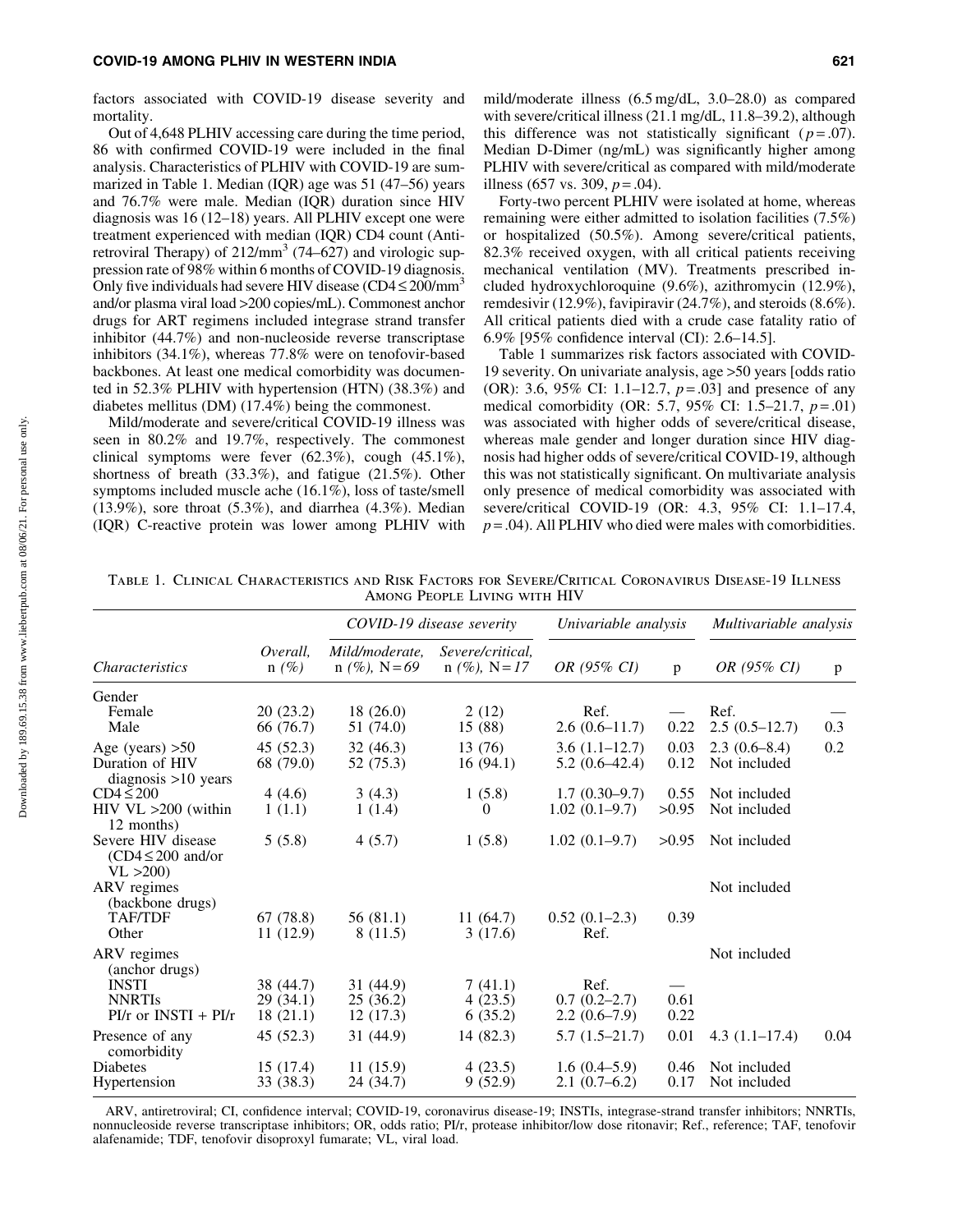factors associated with COVID-19 disease severity and mortality.

Out of 4,648 PLHIV accessing care during the time period, 86 with confirmed COVID-19 were included in the final analysis. Characteristics of PLHIV with COVID-19 are summarized in Table 1. Median (IQR) age was 51 (47–56) years and 76.7% were male. Median (IQR) duration since HIV diagnosis was 16 (12–18) years. All PLHIV except one were treatment experienced with median (IQR) CD4 count (Antiretroviral Therapy) of  $212/\text{mm}^3$  (74–627) and virologic suppression rate of 98% within 6 months of COVID-19 diagnosis. Only five individuals had severe HIV disease (CD4  $\leq$  200/mm<sup>3</sup> and/or plasma viral load >200 copies/mL). Commonest anchor drugs for ART regimens included integrase strand transfer inhibitor (44.7%) and non-nucleoside reverse transcriptase inhibitors (34.1%), whereas 77.8% were on tenofovir-based backbones. At least one medical comorbidity was documented in 52.3% PLHIV with hypertension (HTN) (38.3%) and diabetes mellitus (DM) (17.4%) being the commonest.

Mild/moderate and severe/critical COVID-19 illness was seen in 80.2% and 19.7%, respectively. The commonest clinical symptoms were fever (62.3%), cough (45.1%), shortness of breath (33.3%), and fatigue (21.5%). Other symptoms included muscle ache (16.1%), loss of taste/smell  $(13.9\%)$ , sore throat  $(5.3\%)$ , and diarrhea  $(4.3\%)$ . Median (IQR) C-reactive protein was lower among PLHIV with mild/moderate illness (6.5 mg/dL, 3.0–28.0) as compared with severe/critical illness (21.1 mg/dL, 11.8–39.2), although this difference was not statistically significant ( $p = .07$ ). Median D-Dimer (ng/mL) was significantly higher among PLHIV with severe/critical as compared with mild/moderate illness (657 vs. 309,  $p = .04$ ).

Forty-two percent PLHIV were isolated at home, whereas remaining were either admitted to isolation facilities (7.5%) or hospitalized (50.5%). Among severe/critical patients, 82.3% received oxygen, with all critical patients receiving mechanical ventilation (MV). Treatments prescribed included hydroxychloroquine (9.6%), azithromycin (12.9%), remdesivir (12.9%), favipiravir (24.7%), and steroids (8.6%). All critical patients died with a crude case fatality ratio of 6.9% [95% confidence interval (CI): 2.6–14.5].

Table 1 summarizes risk factors associated with COVID-19 severity. On univariate analysis, age >50 years [odds ratio (OR): 3.6, 95% CI: 1.1–12.7, *p* = .03] and presence of any medical comorbidity (OR: 5.7, 95% CI: 1.5–21.7, *p* = .01) was associated with higher odds of severe/critical disease, whereas male gender and longer duration since HIV diagnosis had higher odds of severe/critical COVID-19, although this was not statistically significant. On multivariate analysis only presence of medical comorbidity was associated with severe/critical COVID-19 (OR: 4.3, 95% CI: 1.1–17.4,  $p = .04$ ). All PLHIV who died were males with comorbidities.

Table 1. Clinical Characteristics and Risk Factors for Severe/Critical Coronavirus Disease-19 Illness Among People Living with HIV

| <i>Characteristics</i>                                   | Overall.<br>$n(\%)$ | COVID-19 disease severity         |                                     | Univariable analysis |       | Multivariable analysis |      |
|----------------------------------------------------------|---------------------|-----------------------------------|-------------------------------------|----------------------|-------|------------------------|------|
|                                                          |                     | Mild/moderate.<br>$n (\%)$ , N=69 | Severe/critical.<br>$n$ (%), N = 17 | OR (95% CI)          | p     | OR (95% CI)            | p    |
| Gender                                                   |                     |                                   |                                     |                      |       |                        |      |
| Female                                                   | 20(23.2)            | 18(26.0)                          | 2(12)                               | Ref.                 |       | Ref.                   |      |
| Male                                                     | 66 (76.7)           | 51 (74.0)                         | 15 (88)                             | $2.6(0.6-11.7)$      | 0.22  | $2.5(0.5-12.7)$        | 0.3  |
| Age (years) $>50$                                        | 45(52.3)            | 32(46.3)                          | 13 (76)                             | $3.6(1.1-12.7)$      | 0.03  | $2.3(0.6-8.4)$         | 0.2  |
| Duration of HIV<br>diagnosis $>10$ years                 | 68 (79.0)           | 52 (75.3)                         | 16(94.1)                            | $5.2(0.6-42.4)$      | 0.12  | Not included           |      |
| $CD4 \leq 200$                                           | 4(4.6)              | 3(4.3)                            | 1(5.8)                              | $1.7(0.30-9.7)$      | 0.55  | Not included           |      |
| $HIV$ VL $>200$ (within<br>12 months)                    | 1(1.1)              | 1(1.4)                            | 0                                   | $1.02(0.1-9.7)$      | >0.95 | Not included           |      |
| Severe HIV disease<br>$(CD4 \leq 200$ and/or<br>VL > 200 | 5(5.8)              | 4(5.7)                            | 1(5.8)                              | $1.02(0.1-9.7)$      | >0.95 | Not included           |      |
| ARV regimes<br>(backbone drugs)                          |                     |                                   |                                     |                      |       | Not included           |      |
| <b>TAF/TDF</b>                                           | 67 (78.8)           | 56 (81.1)                         | 11(64.7)                            | $0.52(0.1-2.3)$      | 0.39  |                        |      |
| Other                                                    | 11(12.9)            | 8(11.5)                           | 3(17.6)                             | Ref.                 |       |                        |      |
| ARV regimes<br>(anchor drugs)                            |                     |                                   |                                     |                      |       | Not included           |      |
| <b>INSTI</b>                                             | 38 (44.7)           | 31 (44.9)                         | 7(41.1)                             | Ref.                 |       |                        |      |
| <b>NNRTIs</b>                                            | 29(34.1)            | 25(36.2)                          | 4(23.5)                             | $0.7(0.2-2.7)$       | 0.61  |                        |      |
| $PI/r$ or $INSTI + PI/r$                                 | 18(21.1)            | 12(17.3)                          | 6(35.2)                             | $2.2(0.6-7.9)$       | 0.22  |                        |      |
| Presence of any<br>comorbidity                           | 45(52.3)            | 31 (44.9)                         | 14(82.3)                            | $5.7(1.5-21.7)$      | 0.01  | $4.3(1.1-17.4)$        | 0.04 |
| <b>Diabetes</b>                                          | 15(17.4)            | 11(15.9)                          | 4(23.5)                             | $1.6(0.4-5.9)$       | 0.46  | Not included           |      |
| Hypertension                                             | 33 (38.3)           | 24 (34.7)                         | 9(52.9)                             | $2.1(0.7-6.2)$       | 0.17  | Not included           |      |

ARV, antiretroviral; CI, confidence interval; COVID-19, coronavirus disease-19; INSTIs, integrase-strand transfer inhibitors; NNRTIs, nonnucleoside reverse transcriptase inhibitors; OR, odds ratio; PI/r, protease inhibitor/low dose ritonavir; Ref., reference; TAF, tenofovir alafenamide; TDF, tenofovir disoproxyl fumarate; VL, viral load.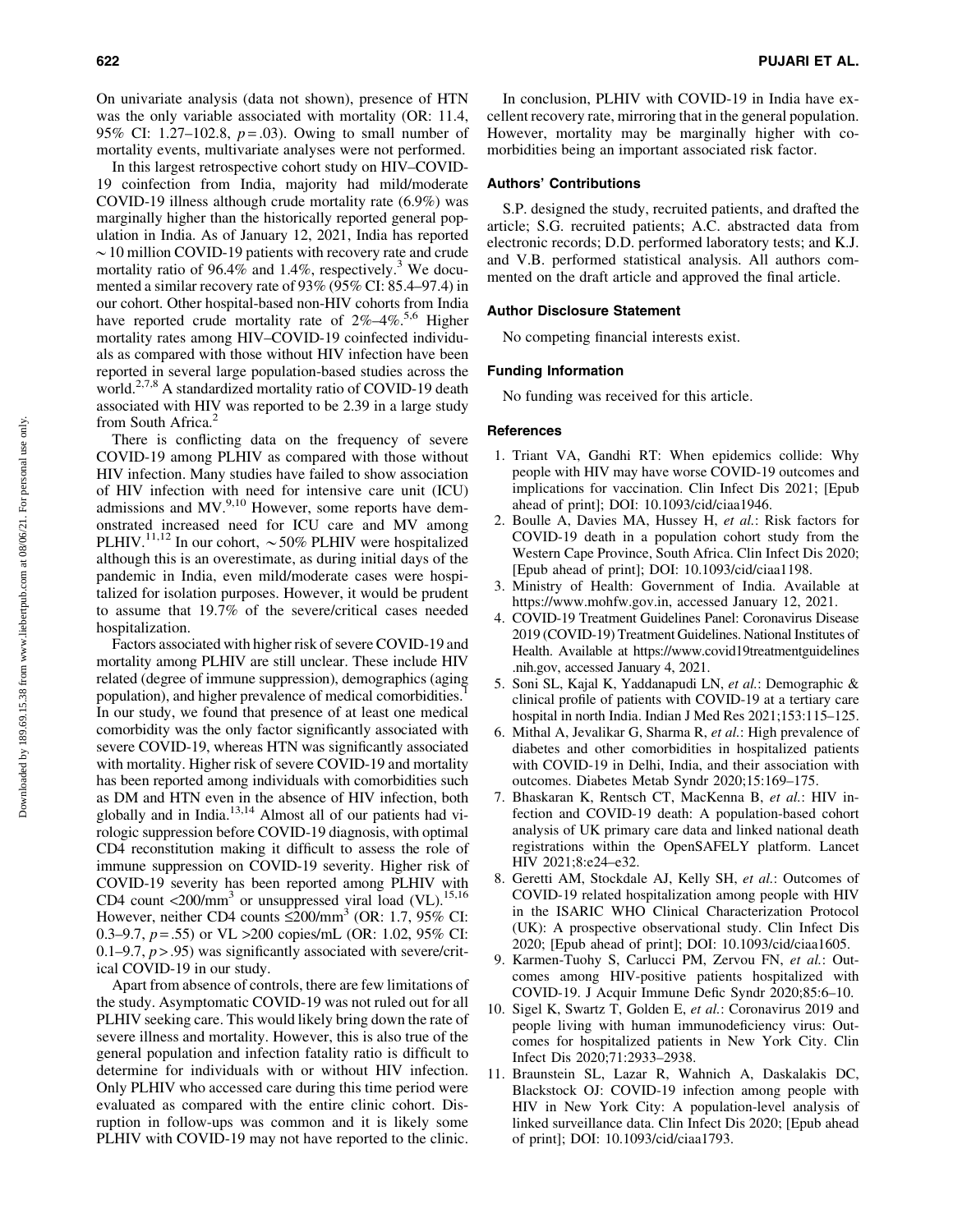On univariate analysis (data not shown), presence of HTN was the only variable associated with mortality (OR: 11.4, 95% CI: 1.27–102.8, *p* = .03). Owing to small number of mortality events, multivariate analyses were not performed.

In this largest retrospective cohort study on HIV–COVID-19 coinfection from India, majority had mild/moderate COVID-19 illness although crude mortality rate (6.9%) was marginally higher than the historically reported general population in India. As of January 12, 2021, India has reported  $\sim$  10 million COVID-19 patients with recovery rate and crude mortality ratio of 96.4% and 1.4%, respectively.<sup>3</sup> We documented a similar recovery rate of 93% (95% CI: 85.4–97.4) in our cohort. Other hospital-based non-HIV cohorts from India have reported crude mortality rate of 2%-4%.<sup>5,6</sup> Higher mortality rates among HIV–COVID-19 coinfected individuals as compared with those without HIV infection have been reported in several large population-based studies across the world.<sup>2,7,8</sup> A standardized mortality ratio of COVID-19 death associated with HIV was reported to be 2.39 in a large study from South Africa. $2$ 

There is conflicting data on the frequency of severe COVID-19 among PLHIV as compared with those without HIV infection. Many studies have failed to show association of HIV infection with need for intensive care unit (ICU) admissions and MV.<sup>9,10</sup> However, some reports have demonstrated increased need for ICU care and MV among PLHIV.<sup>11,12</sup> In our cohort,  $\sim$  50% PLHIV were hospitalized although this is an overestimate, as during initial days of the pandemic in India, even mild/moderate cases were hospitalized for isolation purposes. However, it would be prudent to assume that 19.7% of the severe/critical cases needed hospitalization.

Factors associated with higher risk of severe COVID-19 and mortality among PLHIV are still unclear. These include HIV related (degree of immune suppression), demographics (aging population), and higher prevalence of medical comorbidities.1 In our study, we found that presence of at least one medical comorbidity was the only factor significantly associated with severe COVID-19, whereas HTN was significantly associated with mortality. Higher risk of severe COVID-19 and mortality has been reported among individuals with comorbidities such as DM and HTN even in the absence of HIV infection, both globally and in India.<sup>13,14</sup> Almost all of our patients had virologic suppression before COVID-19 diagnosis, with optimal CD4 reconstitution making it difficult to assess the role of immune suppression on COVID-19 severity. Higher risk of COVID-19 severity has been reported among PLHIV with CD4 count  $\langle 200/\text{mm}^3$  or unsuppressed viral load (VL).<sup>15,16</sup> However, neither CD4 counts  $\leq$ 200/mm<sup>3</sup> (OR: 1.7, 95% CI: 0.3–9.7, *p* = .55) or VL >200 copies/mL (OR: 1.02, 95% CI: 0.1–9.7, *p* > .95) was significantly associated with severe/critical COVID-19 in our study.

Apart from absence of controls, there are few limitations of the study. Asymptomatic COVID-19 was not ruled out for all PLHIV seeking care. This would likely bring down the rate of severe illness and mortality. However, this is also true of the general population and infection fatality ratio is difficult to determine for individuals with or without HIV infection. Only PLHIV who accessed care during this time period were evaluated as compared with the entire clinic cohort. Disruption in follow-ups was common and it is likely some PLHIV with COVID-19 may not have reported to the clinic.

In conclusion, PLHIV with COVID-19 in India have excellent recovery rate, mirroring that in the general population. However, mortality may be marginally higher with comorbidities being an important associated risk factor.

#### Authors' Contributions

S.P. designed the study, recruited patients, and drafted the article; S.G. recruited patients; A.C. abstracted data from electronic records; D.D. performed laboratory tests; and K.J. and V.B. performed statistical analysis. All authors commented on the draft article and approved the final article.

#### Author Disclosure Statement

No competing financial interests exist.

## Funding Information

No funding was received for this article.

#### **References**

- 1. Triant VA, Gandhi RT: When epidemics collide: Why people with HIV may have worse COVID-19 outcomes and implications for vaccination. Clin Infect Dis 2021; [Epub ahead of print]; DOI: 10.1093/cid/ciaa1946.
- 2. Boulle A, Davies MA, Hussey H, *et al.*: Risk factors for COVID-19 death in a population cohort study from the Western Cape Province, South Africa. Clin Infect Dis 2020; [Epub ahead of print]; DOI: 10.1093/cid/ciaa1198.
- 3. Ministry of Health: Government of India. Available at https://www.mohfw.gov.in, accessed January 12, 2021.
- 4. COVID-19 Treatment Guidelines Panel: Coronavirus Disease 2019 (COVID-19) Treatment Guidelines. National Institutes of Health. Available at https://www.covid19treatmentguidelines .nih.gov, accessed January 4, 2021.
- 5. Soni SL, Kajal K, Yaddanapudi LN, *et al.*: Demographic & clinical profile of patients with COVID-19 at a tertiary care hospital in north India. Indian J Med Res 2021;153:115–125.
- 6. Mithal A, Jevalikar G, Sharma R, *et al.*: High prevalence of diabetes and other comorbidities in hospitalized patients with COVID-19 in Delhi, India, and their association with outcomes. Diabetes Metab Syndr 2020;15:169–175.
- 7. Bhaskaran K, Rentsch CT, MacKenna B, *et al.*: HIV infection and COVID-19 death: A population-based cohort analysis of UK primary care data and linked national death registrations within the OpenSAFELY platform. Lancet HIV 2021;8:e24–e32.
- 8. Geretti AM, Stockdale AJ, Kelly SH, *et al.*: Outcomes of COVID-19 related hospitalization among people with HIV in the ISARIC WHO Clinical Characterization Protocol (UK): A prospective observational study. Clin Infect Dis 2020; [Epub ahead of print]; DOI: 10.1093/cid/ciaa1605.
- 9. Karmen-Tuohy S, Carlucci PM, Zervou FN, *et al.*: Outcomes among HIV-positive patients hospitalized with COVID-19. J Acquir Immune Defic Syndr 2020;85:6–10.
- 10. Sigel K, Swartz T, Golden E, *et al.*: Coronavirus 2019 and people living with human immunodeficiency virus: Outcomes for hospitalized patients in New York City. Clin Infect Dis 2020;71:2933–2938.
- 11. Braunstein SL, Lazar R, Wahnich A, Daskalakis DC, Blackstock OJ: COVID-19 infection among people with HIV in New York City: A population-level analysis of linked surveillance data. Clin Infect Dis 2020; [Epub ahead of print]; DOI: 10.1093/cid/ciaa1793.